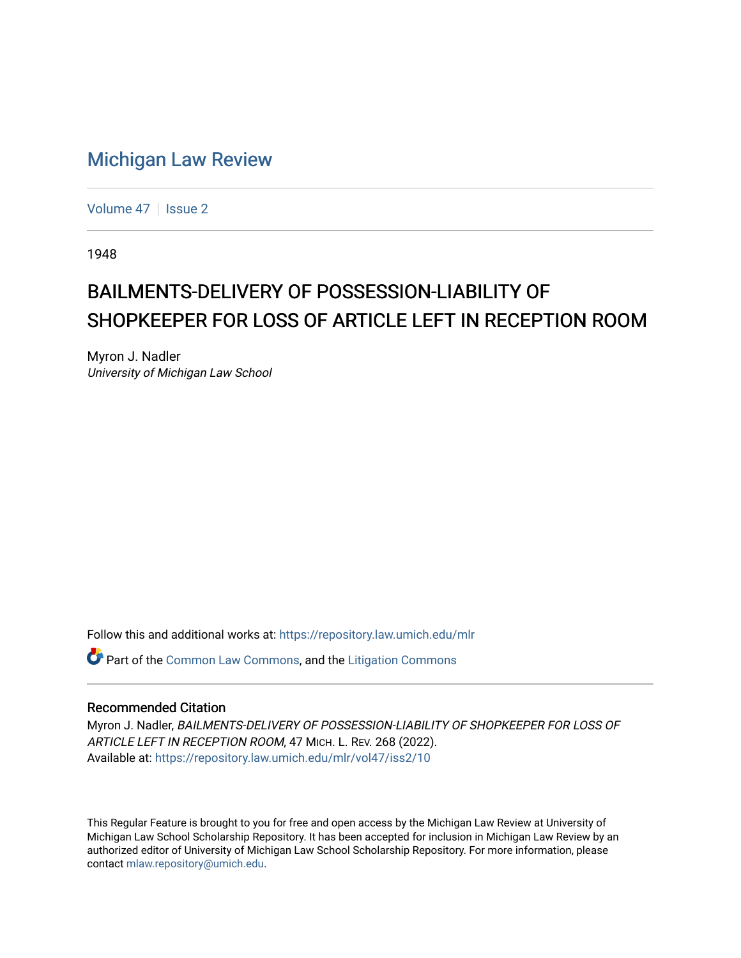## [Michigan Law Review](https://repository.law.umich.edu/mlr)

[Volume 47](https://repository.law.umich.edu/mlr/vol47) | [Issue 2](https://repository.law.umich.edu/mlr/vol47/iss2)

1948

## BAILMENTS-DELIVERY OF POSSESSION-LIABILITY OF SHOPKEEPER FOR LOSS OF ARTICLE LEFT IN RECEPTION ROOM

Myron J. Nadler University of Michigan Law School

Follow this and additional works at: [https://repository.law.umich.edu/mlr](https://repository.law.umich.edu/mlr?utm_source=repository.law.umich.edu%2Fmlr%2Fvol47%2Fiss2%2F10&utm_medium=PDF&utm_campaign=PDFCoverPages) 

Part of the [Common Law Commons,](http://network.bepress.com/hgg/discipline/1120?utm_source=repository.law.umich.edu%2Fmlr%2Fvol47%2Fiss2%2F10&utm_medium=PDF&utm_campaign=PDFCoverPages) and the [Litigation Commons](http://network.bepress.com/hgg/discipline/910?utm_source=repository.law.umich.edu%2Fmlr%2Fvol47%2Fiss2%2F10&utm_medium=PDF&utm_campaign=PDFCoverPages) 

## Recommended Citation

Myron J. Nadler, BAILMENTS-DELIVERY OF POSSESSION-LIABILITY OF SHOPKEEPER FOR LOSS OF ARTICLE LEFT IN RECEPTION ROOM, 47 MICH. L. REV. 268 (2022). Available at: [https://repository.law.umich.edu/mlr/vol47/iss2/10](https://repository.law.umich.edu/mlr/vol47/iss2/10?utm_source=repository.law.umich.edu%2Fmlr%2Fvol47%2Fiss2%2F10&utm_medium=PDF&utm_campaign=PDFCoverPages) 

This Regular Feature is brought to you for free and open access by the Michigan Law Review at University of Michigan Law School Scholarship Repository. It has been accepted for inclusion in Michigan Law Review by an authorized editor of University of Michigan Law School Scholarship Repository. For more information, please contact [mlaw.repository@umich.edu](mailto:mlaw.repository@umich.edu).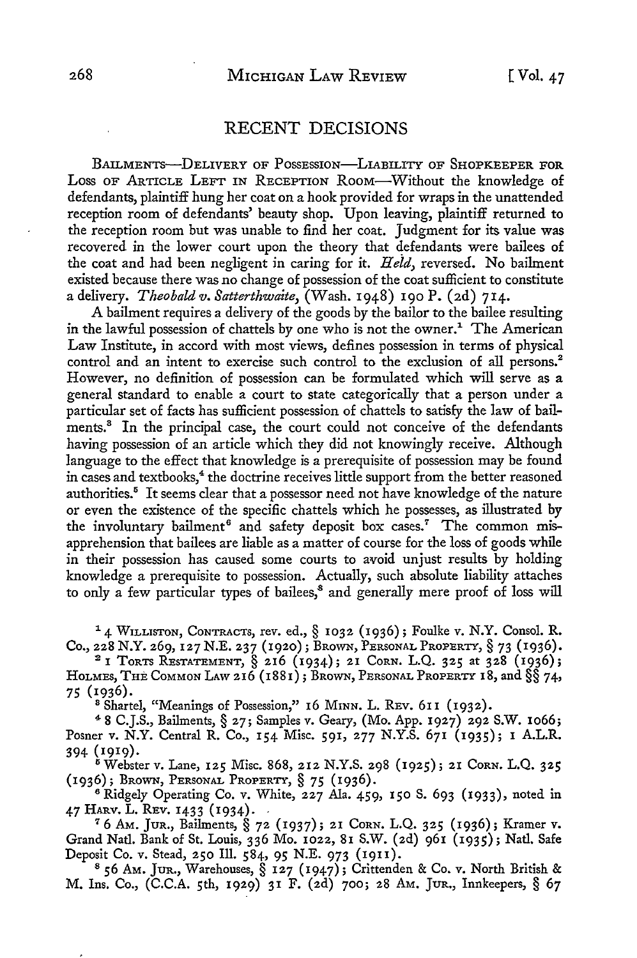## RECENT DECISIONS

BAILMENTS--DELIVERY OF POSSESSION-LIABILITY OF SHOPKEEPER FOR Loss OF ARTICLE LEFT IN RECEPTION RooM-Without the knowledge of defendants, plaintiff hung her coat on a hook provided for wraps in the unattended reception room of defendants' beauty shop. Upon leaving, plaintiff returned to the reception room but was unable to find her coat. Judgment for its value was recovered in the lower court upon the theory that 4efendants were bailees of the coat and had been negligent in caring for it. *Held,* reversed. No bailment existed because there was no change of possession of the coat sufficient to constitute a delivery. *Theobald v. Satterthwaite*, (Wash. 1948) 190 P. (2d) 714.

A bailment requires a delivery of the goods by the bailor to the bailee resulting in the lawful possession of chattels by one who is not the owner.<sup>1</sup> The American Law Institute, in accord with most views, defines possession in terms of physical control and an intent to exercise such control to the exclusion of all persons.<sup>2</sup> However, no definition of possession can be formulated which will serve as a general standard to enable a court to state categorically that a person under a particular set of facts has sufficient possession of chattels to satisfy the law of bailments.<sup>8</sup> In the principal case, the court could not conceive of the defendants having possession of an article which they did not knowingly receive. Although language to the effect that knowledge is a prerequisite of possession may be found in cases and textbooks,<sup>4</sup> the doctrine receives little support from the better reasoned authorities.<sup>5</sup> It seems clear that a possessor need not have knowledge of the nature or even the existence of the specific chattels which he possesses, as illustrated by the involuntary bailment<sup>6</sup> and safety deposit box cases.<sup>7</sup> The common misapprehension that bailees are liable as a matter of course for the loss of goods while in their possession has caused some courts to avoid unjust results by holding knowledge a prerequisite to possession. Actually, such absolute liability attaches to only a few particular types of bailees,<sup>8</sup> and generally mere proof of loss will

<sup>1</sup> 4 WILLISTON, CoNTRACTs, rev. ed., § 1032 (1936); Foulke v. N.Y. Consol. R. Co., 228 N.Y. 269, 127 N.E. 237 (1920); BRoWN, PERSONAL PROPERTY,§ 73 (1936).

<sup>2</sup>1 ToRTS RESTATEMENT, § 216 (1934); 21 CoRN. L.Q. 325 at 328 (1936); HOLMES, THE COMMON LAW 216 (1881); BROWN, PERSONAL PROPERTY 18, and §§ 74, 75 (1936).

<sup>8</sup> Shartel, "Meanings of Possession," 16 MINN. L. REV. 611 (1932).

<sup>4</sup>8 C.J.S., Bailments, § 27; Samples v. Geary, (Mo. App. 1927) 292 S.W. 1066; Posner v. N.Y. Central R. Co., 154 Misc. 591, 277 N.Y.S. 671 (1935); 1 A.L.R. 394 (1919).

<sup>5</sup> Webster v. Lane, 125 Misc. 868, 212 N.Y.S. 298 (1925); 21 Corn. L.Q. 325 (1936); BROWN, PERSONAL PROPERTY,§ 75 (1936).

<sup>6</sup> Ridgely Operating Co. v. White, 227 Ala. 459, 150 S. 693 (1933), noted in 47 HARV. L. REV. 1433 (1934). - 76 AM. JUR., Bailments, § 72 (1937); 21 CORN. L.Q. 325 (1936); Kramer v.

Grand Natl. Bank of St. Louis, 336 Mo. 1022, 81 S.W. (2d) 961 (1935); Natl. Safe

Deposit Co. v. Stead, 250 Ill. 584, 95 N.E. 973 (1911).<br><sup>8</sup> 56 Am. Jur., Warehouses, § 127 (1947); Crittenden & Co. v. North British & M. Ins. Co., (C.C.A. 5th, 1929) 31 F. (2d) 700; 28 AM. JuR., Innkeepers, § 67